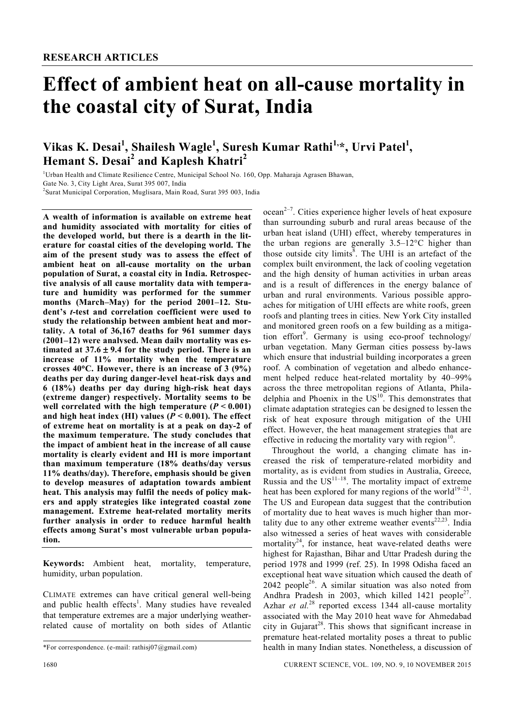# **Effect of ambient heat on all-cause mortality in the coastal city of Surat, India**

# **Vikas K. Desai<sup>1</sup> , Shailesh Wagle<sup>1</sup> , Suresh Kumar Rathi1,\*, Urvi Patel<sup>1</sup> , Hemant S. Desai<sup>2</sup> and Kaplesh Khatri<sup>2</sup>**

<sup>1</sup>Urban Health and Climate Resilience Centre, Municipal School No. 160, Opp. Maharaja Agrasen Bhawan, Gate No. 3, City Light Area, Surat 395 007, India 2 Surat Municipal Corporation, Muglisara, Main Road, Surat 395 003, India

**A wealth of information is available on extreme heat and humidity associated with mortality for cities of the developed world, but there is a dearth in the literature for coastal cities of the developing world. The aim of the present study was to assess the effect of ambient heat on all-cause mortality on the urban population of Surat, a coastal city in India. Retrospective analysis of all cause mortality data with temperature and humidity was performed for the summer months (March–May) for the period 2001–12. Student's** *t***-test and correlation coefficient were used to study the relationship between ambient heat and mortality. A total of 36,167 deaths for 961 summer days (2001–12) were analysed. Mean daily mortality was estimated at 37.6**  $\pm$  **9.4 for the study period. There is an increase of 11% mortality when the temperature crosses 40C. However, there is an increase of 3 (9%) deaths per day during danger-level heat-risk days and 6 (18%) deaths per day during high-risk heat days (extreme danger) respectively. Mortality seems to be**  well correlated with the high temperature  $(P < 0.001)$ and high heat index (HI) values ( $P < 0.001$ ). The effect **of extreme heat on mortality is at a peak on day-2 of the maximum temperature. The study concludes that the impact of ambient heat in the increase of all cause mortality is clearly evident and HI is more important than maximum temperature (18% deaths/day versus 11% deaths/day). Therefore, emphasis should be given to develop measures of adaptation towards ambient heat. This analysis may fulfil the needs of policy makers and apply strategies like integrated coastal zone management. Extreme heat-related mortality merits further analysis in order to reduce harmful health effects among Surat's most vulnerable urban population.**

**Keywords:** Ambient heat, mortality, temperature, humidity, urban population.

CLIMATE extremes can have critical general well-being and public health effects<sup>1</sup>. Many studies have revealed that temperature extremes are a major underlying weatherrelated cause of mortality on both sides of Atlantic

 $ocean<sup>2-7</sup>$ . Cities experience higher levels of heat exposure than surrounding suburb and rural areas because of the urban heat island (UHI) effect, whereby temperatures in the urban regions are generally  $3.5-12$ °C higher than those outside city limits<sup>8</sup>. The UHI is an artefact of the complex built environment, the lack of cooling vegetation and the high density of human activities in urban areas and is a result of differences in the energy balance of urban and rural environments. Various possible approaches for mitigation of UHI effects are white roofs, green roofs and planting trees in cities. New York City installed and monitored green roofs on a few building as a mitigation effort<sup>9</sup>. Germany is using eco-proof technology/ urban vegetation. Many German cities possess by-laws which ensure that industrial building incorporates a green roof. A combination of vegetation and albedo enhancement helped reduce heat-related mortality by 40–99% across the three metropolitan regions of Atlanta, Philadelphia and Phoenix in the  $US<sup>10</sup>$ . This demonstrates that climate adaptation strategies can be designed to lessen the risk of heat exposure through mitigation of the UHI effect. However, the heat management strategies that are effective in reducing the mortality vary with region $10$ .

Throughout the world, a changing climate has increased the risk of temperature-related morbidity and mortality, as is evident from studies in Australia, Greece, Russia and the  $US<sup>11–18</sup>$ . The mortality impact of extreme heat has been explored for many regions of the world<sup>19–21</sup>. The US and European data suggest that the contribution of mortality due to heat waves is much higher than mortality due to any other extreme weather events $22,23$ . India also witnessed a series of heat waves with considerable mortality<sup>24</sup>, for instance, heat wave-related deaths were highest for Rajasthan, Bihar and Uttar Pradesh during the period 1978 and 1999 (ref. 25). In 1998 Odisha faced an exceptional heat wave situation which caused the death of  $2042$  people<sup>26</sup>. A similar situation was also noted from Andhra Pradesh in 2003, which killed  $1421$  people<sup>27</sup>. Azhar *et al.* <sup>28</sup> reported excess 1344 all-cause mortality associated with the May 2010 heat wave for Ahmedabad city in Gujarat<sup>28</sup>. This shows that significant increase in premature heat-related mortality poses a threat to public health in many Indian states. Nonetheless, a discussion of

<sup>\*</sup>For correspondence. (e-mail: rathisj07@gmail.com)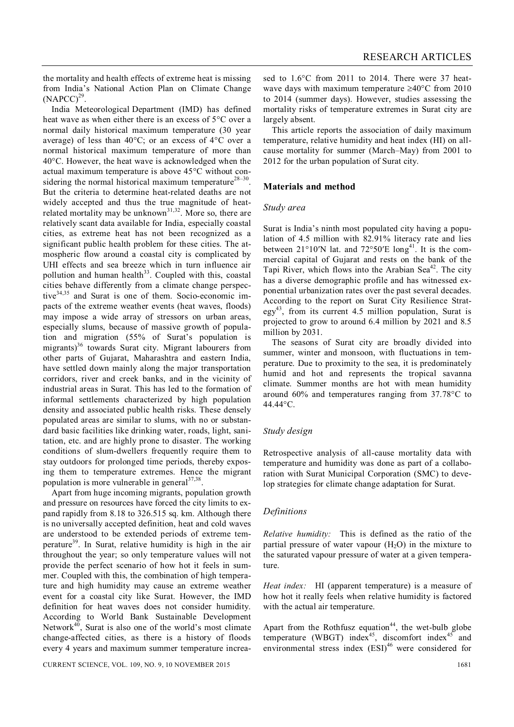the mortality and health effects of extreme heat is missing from India's National Action Plan on Climate Change  $(NAPCC)^{29}$ .

India Meteorological Department (IMD) has defined heat wave as when either there is an excess of  $5^{\circ}$ C over a normal daily historical maximum temperature (30 year average) of less than  $40^{\circ}$ C; or an excess of  $4^{\circ}$ C over a normal historical maximum temperature of more than  $40^{\circ}$ C. However, the heat wave is acknowledged when the actual maximum temperature is above  $45^{\circ}$ C without considering the normal historical maximum temperature<sup>28-30</sup>. But the criteria to determine heat-related deaths are not widely accepted and thus the true magnitude of heatrelated mortality may be unknown<sup>31,32</sup>. More so, there are relatively scant data available for India, especially coastal cities, as extreme heat has not been recognized as a significant public health problem for these cities. The atmospheric flow around a coastal city is complicated by UHI effects and sea breeze which in turn influence air pollution and human health $33$ . Coupled with this, coastal cities behave differently from a climate change perspective $34,35$  and Surat is one of them. Socio-economic impacts of the extreme weather events (heat waves, floods) may impose a wide array of stressors on urban areas, especially slums, because of massive growth of population and migration (55% of Surat's population is migrants)<sup>36</sup> towards Surat city. Migrant labourers from other parts of Gujarat, Maharashtra and eastern India, have settled down mainly along the major transportation corridors, river and creek banks, and in the vicinity of industrial areas in Surat. This has led to the formation of informal settlements characterized by high population density and associated public health risks. These densely populated areas are similar to slums, with no or substandard basic facilities like drinking water, roads, light, sanitation, etc. and are highly prone to disaster. The working conditions of slum-dwellers frequently require them to stay outdoors for prolonged time periods, thereby exposing them to temperature extremes. Hence the migrant population is more vulnerable in general<sup>37,38</sup>.

Apart from huge incoming migrants, population growth and pressure on resources have forced the city limits to expand rapidly from 8.18 to 326.515 sq. km. Although there is no universally accepted definition, heat and cold waves are understood to be extended periods of extreme temperature<sup>39</sup>. In Surat, relative humidity is high in the air throughout the year; so only temperature values will not provide the perfect scenario of how hot it feels in summer. Coupled with this, the combination of high temperature and high humidity may cause an extreme weather event for a coastal city like Surat. However, the IMD definition for heat waves does not consider humidity. According to World Bank Sustainable Development Network $40$ , Surat is also one of the world's most climate change-affected cities, as there is a history of floods every 4 years and maximum summer temperature increa-

sed to  $1.6^{\circ}$ C from 2011 to 2014. There were 37 heatwave days with maximum temperature  $\geq 40^{\circ}$ C from 2010 to 2014 (summer days). However, studies assessing the mortality risks of temperature extremes in Surat city are largely absent.

This article reports the association of daily maximum temperature, relative humidity and heat index (HI) on allcause mortality for summer (March–May) from 2001 to 2012 for the urban population of Surat city.

# **Materials and method**

#### *Study area*

Surat is India's ninth most populated city having a population of 4.5 million with 82.91% literacy rate and lies between  $21^{\circ}10'$ N lat. and  $72^{\circ}50'$ E long<sup>41</sup>. It is the commercial capital of Gujarat and rests on the bank of the Tapi River, which flows into the Arabian Sea $42$ . The city has a diverse demographic profile and has witnessed exponential urbanization rates over the past several decades. According to the report on Surat City Resilience Strat $egy<sup>43</sup>$ , from its current 4.5 million population, Surat is projected to grow to around 6.4 million by 2021 and 8.5 million by 2031.

The seasons of Surat city are broadly divided into summer, winter and monsoon, with fluctuations in temperature. Due to proximity to the sea, it is predominately humid and hot and represents the tropical savanna climate. Summer months are hot with mean humidity around  $60\%$  and temperatures ranging from  $37.78\textdegree C$  to  $44.44^{\circ}$ C.

#### *Study design*

Retrospective analysis of all-cause mortality data with temperature and humidity was done as part of a collaboration with Surat Municipal Corporation (SMC) to develop strategies for climate change adaptation for Surat.

#### *Definitions*

*Relative humidity:* This is defined as the ratio of the partial pressure of water vapour  $(H<sub>2</sub>O)$  in the mixture to the saturated vapour pressure of water at a given temperature.

*Heat index:* HI (apparent temperature) is a measure of how hot it really feels when relative humidity is factored with the actual air temperature.

Apart from the Rothfusz equation<sup>44</sup>, the wet-bulb globe temperature (WBGT) index<sup>45</sup>, discomfort index<sup>45</sup> and environmental stress index  $(ESI)^{46}$  were considered for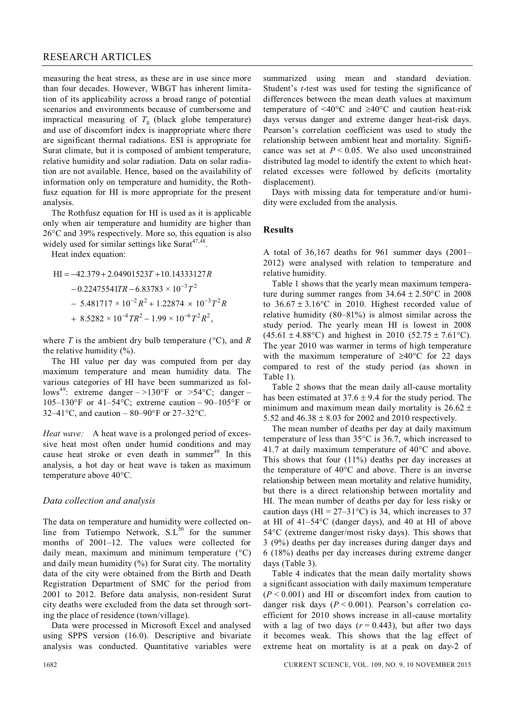## RESEARCH ARTICLES

measuring the heat stress, as these are in use since more than four decades. However, WBGT has inherent limitation of its applicability across a broad range of potential scenarios and environments because of cumbersome and impractical measuring of  $T_g$  (black globe temperature) and use of discomfort index is inappropriate where there are significant thermal radiations. ESI is appropriate for Surat climate, but it is composed of ambient temperature, relative humidity and solar radiation. Data on solar radiation are not available. Hence, based on the availability of information only on temperature and humidity, the Rothfusz equation for HI is more appropriate for the present analysis.

The Rothfusz equation for HI is used as it is applicable only when air temperature and humidity are higher than  $26^{\circ}$ C and 39% respectively. More so, this equation is also widely used for similar settings like Surat $47,48$ .

Heat index equation:

$$
HI = -42.379 + 2.04901523T + 10.14333127R
$$
  
- 0.22475541TR – 6.83783 × 10<sup>-3</sup>T<sup>2</sup>  
- 5.481717 × 10<sup>-2</sup>R<sup>2</sup> + 1.22874 × 10<sup>-3</sup>T<sup>2</sup>R  
+ 8.5282 × 10<sup>-4</sup>TR<sup>2</sup> – 1.99 × 10<sup>-6</sup>T<sup>2</sup>R<sup>2</sup>,

where *T* is the ambient dry bulb temperature  $({}^{\circ}C)$ , and *R* the relative humidity  $(\% )$ .

The HI value per day was computed from per day maximum temperature and mean humidity data. The various categories of HI have been summarized as follows<sup>49</sup>: extreme danger  $-$  >130°F or >54°C; danger – 105–130°F or 41–54°C; extreme caution – 90–105°F or 32–41 °C, and caution – 80–90 °F or 27–32 °C.

*Heat wave:* A heat wave is a prolonged period of excessive heat most often under humid conditions and may cause heat stroke or even death in summer<sup>49</sup>. In this analysis, a hot day or heat wave is taken as maximum temperature above 40°C.

# *Data collection and analysis*

The data on temperature and humidity were collected online from Tutiempo Network,  $S.L<sup>50</sup>$  for the summer months of 2001–12. The values were collected for daily mean, maximum and minimum temperature  $(^{\circ}C)$ and daily mean humidity  $(\%)$  for Surat city. The mortality data of the city were obtained from the Birth and Death Registration Department of SMC for the period from 2001 to 2012. Before data analysis, non-resident Surat city deaths were excluded from the data set through sorting the place of residence (town/village).

Data were processed in Microsoft Excel and analysed using SPPS version (16.0). Descriptive and bivariate analysis was conducted. Quantitative variables were

summarized using mean and standard deviation. Student's *t*-test was used for testing the significance of differences between the mean death values at maximum temperature of <40 $^{\circ}$ C and  $\geq 40$  $^{\circ}$ C and caution heat-risk days versus danger and extreme danger heat-risk days. Pearson's correlation coefficient was used to study the relationship between ambient heat and mortality. Significance was set at  $P < 0.05$ . We also used unconstrained distributed lag model to identify the extent to which heatrelated excesses were followed by deficits (mortality displacement).

Days with missing data for temperature and/or humidity were excluded from the analysis.

### **Results**

A total of 36,167 deaths for 961 summer days (2001– 2012) were analysed with relation to temperature and relative humidity.

Table 1 shows that the yearly mean maximum temperature during summer ranges from  $34.64 \pm 2.50^{\circ}$ C in 2008 to  $36.67 \pm 3.16$ °C in 2010. Highest recorded value of relative humidity (80–81%) is almost similar across the study period. The yearly mean HI is lowest in 2008  $(45.61 \pm 4.88$ °C) and highest in 2010 (52.75 ± 7.61°C). The year 2010 was warmer in terms of high temperature with the maximum temperature of  $\geq 40^{\circ}$ C for 22 days compared to rest of the study period (as shown in Table 1).

Table 2 shows that the mean daily all-cause mortality has been estimated at  $37.6 \pm 9.4$  for the study period. The minimum and maximum mean daily mortality is  $26.62 \pm$ 5.52 and  $46.38 \pm 8.03$  for 2002 and 2010 respectively.

The mean number of deaths per day at daily maximum temperature of less than  $35^{\circ}$ C is 36.7, which increased to 41.7 at daily maximum temperature of  $40^{\circ}$ C and above. This shows that four (11%) deaths per day increases at the temperature of  $40^{\circ}$ C and above. There is an inverse relationship between mean mortality and relative humidity, but there is a direct relationship between mortality and HI. The mean number of deaths per day for less risky or caution days (HI =  $27-31$ °C) is 34, which increases to 37 at HI of 41–54C (danger days), and 40 at HI of above  $54^{\circ}$ C (extreme danger/most risky days). This shows that 3 (9%) deaths per day increases during danger days and 6 (18%) deaths per day increases during extreme danger days (Table 3).

Table 4 indicates that the mean daily mortality shows a significant association with daily maximum temperature  $(P < 0.001)$  and HI or discomfort index from caution to danger risk days (*P* < 0.001). Pearson's correlation coefficient for 2010 shows increase in all-cause mortality with a lag of two days  $(r = 0.443)$ , but after two days it becomes weak. This shows that the lag effect of extreme heat on mortality is at a peak on day-2 of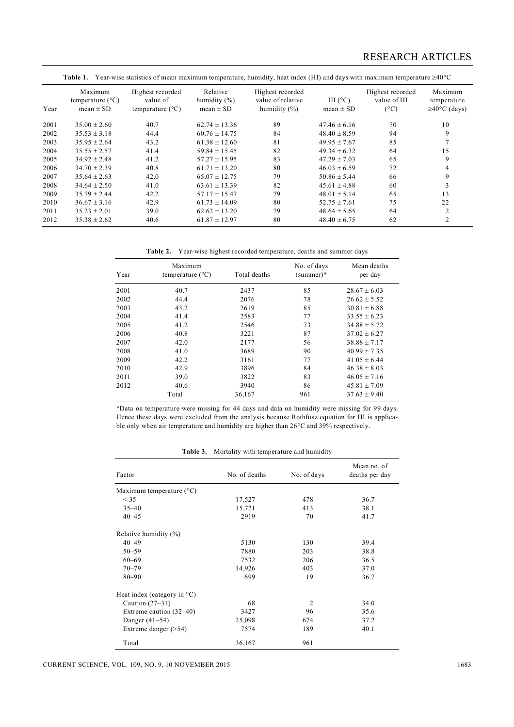|      | Table 1. Year-wise statistics of mean maximum temperature, humidity, heat index (HI) and days with maximum temperature $\geq 40^{\circ}$ C |                                                           |                                               |                                                           |                          |                                                  |                                              |  |
|------|--------------------------------------------------------------------------------------------------------------------------------------------|-----------------------------------------------------------|-----------------------------------------------|-----------------------------------------------------------|--------------------------|--------------------------------------------------|----------------------------------------------|--|
| Year | Maximum<br>temperature $(^{\circ}C)$<br>mean $\pm$ SD                                                                                      | Highest recorded<br>value of<br>temperature $(^{\circ}C)$ | Relative<br>humidity $(\% )$<br>mean $\pm$ SD | Highest recorded<br>value of relative<br>humidity $(\% )$ | HI (°C)<br>mean $\pm$ SD | Highest recorded<br>value of HI<br>$(^{\circ}C)$ | Maximum<br>temperature<br>$\geq$ 40°C (days) |  |
| 2001 | $35.00 \pm 2.60$                                                                                                                           | 40.7                                                      | $62.74 \pm 13.36$                             | 89                                                        | $47.46 \pm 6.16$         | 70                                               | 10                                           |  |
| 2002 | $35.53 \pm 3.18$                                                                                                                           | 44.4                                                      | $60.76 + 14.75$                               | 84                                                        | $48.40 \pm 8.59$         | 94                                               | 9                                            |  |
| 2003 | $35.95 \pm 2.64$                                                                                                                           | 43.2                                                      | $61.38 \pm 12.60$                             | 81                                                        | $49.95 \pm 7.67$         | 85                                               | $\overline{7}$                               |  |
| 2004 | $35.55 \pm 2.57$                                                                                                                           | 41.4                                                      | $59.84 \pm 15.45$                             | 82                                                        | $49.34 \pm 6.32$         | 64                                               | 15                                           |  |
| 2005 | $34.92 \pm 2.48$                                                                                                                           | 41.2                                                      | $57.27 \pm 15.95$                             | 83                                                        | $47.29 \pm 7.03$         | 65                                               | 9                                            |  |
| 2006 | $34.70 \pm 2.39$                                                                                                                           | 40.8                                                      | $61.71 \pm 13.20$                             | 80                                                        | $46.03 \pm 6.59$         | 72                                               | 4                                            |  |
| 2007 | $35.64 \pm 2.63$                                                                                                                           | 42.0                                                      | $65.07 \pm 12.75$                             | 79                                                        | $50.86 \pm 5.44$         | 66                                               | 9                                            |  |
| 2008 | $34.64 \pm 2.50$                                                                                                                           | 41.0                                                      | $63.61 \pm 13.39$                             | 82                                                        | $45.61 \pm 4.88$         | 60                                               | 3                                            |  |
| 2009 | $35.79 \pm 2.44$                                                                                                                           | 42.2                                                      | $57.17 \pm 15.47$                             | 79                                                        | $48.01 \pm 5.14$         | 65                                               | 13                                           |  |
| 2010 | $36.67 \pm 3.16$                                                                                                                           | 42.9                                                      | $61.73 \pm 14.09$                             | 80                                                        | $52.75 \pm 7.61$         | 75                                               | 22                                           |  |
| 2011 | $35.23 \pm 2.01$                                                                                                                           | 39.0                                                      | $62.62 \pm 13.20$                             | 79                                                        | $48.64 \pm 5.65$         | 64                                               | $\overline{2}$                               |  |
| 2012 | $35.38 \pm 2.62$                                                                                                                           | 40.6                                                      | $61.87 \pm 12.97$                             | 80                                                        | $48.40 \pm 6.75$         | 62                                               | 2                                            |  |

**Table 2.** Year-wise highest recorded temperature, deaths and summer days

| Year | Maximum<br>temperature $(^{\circ}C)$ | Total deaths | No. of days<br>$(summer)$ * | Mean deaths<br>per day |
|------|--------------------------------------|--------------|-----------------------------|------------------------|
| 2001 | 40.7                                 | 2437         | 85                          | $28.67 \pm 6.03$       |
| 2002 | 44.4                                 | 2076         | 78                          | $26.62 + 5.52$         |
| 2003 | 43.2                                 | 2619         | 85                          | $30.81 + 6.88$         |
| 2004 | 41.4                                 | 2583         | 77                          | $33.55 \pm 6.23$       |
| 2005 | 41.2                                 | 2546         | 73                          | $34.88 \pm 5.72$       |
| 2006 | 40.8                                 | 3221         | 87                          | $37.02 + 6.27$         |
| 2007 | 42.0                                 | 2177         | 56                          | $38.88 \pm 7.17$       |
| 2008 | 41.0                                 | 3689         | 90                          | $40.99 \pm 7.35$       |
| 2009 | 42.2                                 | 3161         | 77                          | $41.05 + 6.44$         |
| 2010 | 42.9                                 | 3896         | 84                          | $46.38 \pm 8.03$       |
| 2011 | 39.0                                 | 3822         | 83                          | $46.05 + 7.16$         |
| 2012 | 40.6                                 | 3940         | 86                          | $45.81 \pm 7.09$       |
|      | Total                                | 36,167       | 961                         | $37.63 \pm 9.40$       |

\*Data on temperature were missing for 44 days and data on humidity were missing for 99 days. Hence these days were excluded from the analysis because Rothfusz equation for HI is applicable only when air temperature and humidity are higher than  $26^{\circ}$ C and  $39\%$  respectively.

**Table 3.** Mortality with temperature and humidity

| Factor                                | No. of deaths | No. of days    | Mean no. of<br>deaths per day |
|---------------------------------------|---------------|----------------|-------------------------------|
| Maximum temperature $(^{\circ}C)$     |               |                |                               |
| $<$ 35                                | 17,527        | 478            | 36.7                          |
| $35 - 40$                             | 15,721        | 413            | 38.1                          |
| $40 - 45$                             | 2919          | 70             | 41.7                          |
| Relative humidity (%)                 |               |                |                               |
| $40 - 49$                             | 5130          | 130            | 39.4                          |
| $50 - 59$                             | 7880          | 203            | 38.8                          |
| $60 - 69$                             | 7532          | 206            | 36.5                          |
| $70 - 79$                             | 14,926        | 403            | 37.0                          |
| $80 - 90$                             | 699           | 19             | 36.7                          |
| Heat index (category in $^{\circ}$ C) |               |                |                               |
| Caution $(27-31)$                     | 68            | $\mathfrak{D}$ | 34.0                          |
| Extreme caution $(32-40)$             | 3427          | 96             | 35.6                          |
| Danger $(41-54)$                      | 25,098        | 674            | 37.2                          |
| Extreme danger $($ >54)               | 7574          | 189            | 40.1                          |
| Total                                 | 36,167        | 961            |                               |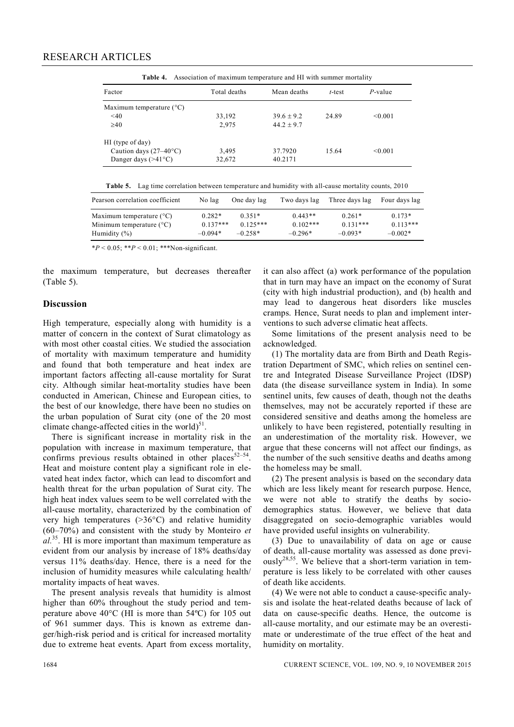| <b>rable 4.</b> Association of maximum temperature and fill with summer mortantly |              |                |        |            |  |  |
|-----------------------------------------------------------------------------------|--------------|----------------|--------|------------|--|--|
| Factor                                                                            | Total deaths | Mean deaths    | t-test | $P$ -value |  |  |
| Maximum temperature $(^{\circ}C)$                                                 |              |                |        |            |  |  |
| $<$ 40                                                                            | 33,192       | $39.6 \pm 9.2$ | 24.89  | < 0.001    |  |  |
| $\geq 40$                                                                         | 2.975        | $44.2 + 9.7$   |        |            |  |  |
| HI (type of day)                                                                  |              |                |        |            |  |  |
| Caution days $(27-40^{\circ}C)$                                                   | 3,495        | 37.7920        | 15.64  | < 0.001    |  |  |
| Danger days $(>41^{\circ}C)$                                                      | 32,672       | 40.2171        |        |            |  |  |

**Table 4.** Association of maximum temperature and HI with summer mortality

|  | <b>Table 5.</b> Lag time correlation between temperature and humidity with all-cause mortality counts, 2010 |
|--|-------------------------------------------------------------------------------------------------------------|
|  |                                                                                                             |

| Pearson correlation coefficient   | No lag     | One day lag | Two days lag | Three days lag | Four days lag |
|-----------------------------------|------------|-------------|--------------|----------------|---------------|
| Maximum temperature $(^{\circ}C)$ | $0.282*$   | $0.351*$    | $0.443**$    | $0.261*$       | $0.173*$      |
| Minimum temperature $(^{\circ}C)$ | $0.137***$ | $0.125***$  | $0.102$ ***  | $0.131***$     | $0.113***$    |
| Humidity $(\% )$                  | $-0.094*$  | $-0.258*$   | $-0.296*$    | $-0.093*$      | $-0.002*$     |

 $*P < 0.05$ ;  $**P < 0.01$ ;  $***$ Non-significant.

the maximum temperature, but decreases thereafter (Table 5).

# **Discussion**

High temperature, especially along with humidity is a matter of concern in the context of Surat climatology as with most other coastal cities. We studied the association of mortality with maximum temperature and humidity and found that both temperature and heat index are important factors affecting all-cause mortality for Surat city. Although similar heat-mortality studies have been conducted in American, Chinese and European cities, to the best of our knowledge, there have been no studies on the urban population of Surat city (one of the 20 most climate change-affected cities in the world) $51$ .

There is significant increase in mortality risk in the population with increase in maximum temperature, that confirms previous results obtained in other places $52-54$ . Heat and moisture content play a significant role in elevated heat index factor, which can lead to discomfort and health threat for the urban population of Surat city. The high heat index values seem to be well correlated with the all-cause mortality, characterized by the combination of very high temperatures  $(>36^{\circ}C)$  and relative humidity (60–70%) and consistent with the study by Monteiro *et al.*<sup>35</sup>. HI is more important than maximum temperature as evident from our analysis by increase of 18% deaths/day versus 11% deaths/day. Hence, there is a need for the inclusion of humidity measures while calculating health/ mortality impacts of heat waves.

The present analysis reveals that humidity is almost higher than  $60\%$  throughout the study period and temperature above  $40^{\circ}$ C (HI is more than  $54^{\circ}$ C) for 105 out of 961 summer days. This is known as extreme danger/high-risk period and is critical for increased mortality due to extreme heat events. Apart from excess mortality,

it can also affect (a) work performance of the population that in turn may have an impact on the economy of Surat (city with high industrial production), and (b) health and may lead to dangerous heat disorders like muscles cramps. Hence, Surat needs to plan and implement interventions to such adverse climatic heat affects.

Some limitations of the present analysis need to be acknowledged.

(1) The mortality data are from Birth and Death Registration Department of SMC, which relies on sentinel centre and Integrated Disease Surveillance Project (IDSP) data (the disease surveillance system in India). In some sentinel units, few causes of death, though not the deaths themselves, may not be accurately reported if these are considered sensitive and deaths among the homeless are unlikely to have been registered, potentially resulting in an underestimation of the mortality risk. However, we argue that these concerns will not affect our findings, as the number of the such sensitive deaths and deaths among the homeless may be small.

(2) The present analysis is based on the secondary data which are less likely meant for research purpose. Hence, we were not able to stratify the deaths by sociodemographics status. However, we believe that data disaggregated on socio-demographic variables would have provided useful insights on vulnerability.

(3) Due to unavailability of data on age or cause of death, all-cause mortality was assessed as done previ- $\text{ously}^{28,55}$ . We believe that a short-term variation in temperature is less likely to be correlated with other causes of death like accidents.

(4) We were not able to conduct a cause-specific analysis and isolate the heat-related deaths because of lack of data on cause-specific deaths. Hence, the outcome is all-cause mortality, and our estimate may be an overestimate or underestimate of the true effect of the heat and humidity on mortality.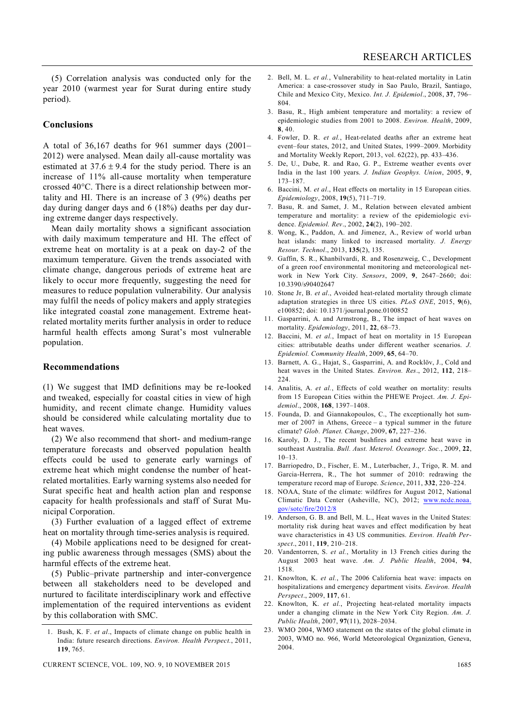(5) Correlation analysis was conducted only for the year 2010 (warmest year for Surat during entire study period).

#### **Conclusions**

A total of 36,167 deaths for 961 summer days (2001– 2012) were analysed. Mean daily all-cause mortality was estimated at  $37.6 \pm 9.4$  for the study period. There is an increase of 11% all-cause mortality when temperature crossed 40C. There is a direct relationship between mortality and HI. There is an increase of 3 (9%) deaths per day during danger days and 6 (18%) deaths per day during extreme danger days respectively.

Mean daily mortality shows a significant association with daily maximum temperature and HI. The effect of extreme heat on mortality is at a peak on day-2 of the maximum temperature. Given the trends associated with climate change, dangerous periods of extreme heat are likely to occur more frequently, suggesting the need for measures to reduce population vulnerability. Our analysis may fulfil the needs of policy makers and apply strategies like integrated coastal zone management. Extreme heatrelated mortality merits further analysis in order to reduce harmful health effects among Surat's most vulnerable population.

#### **Recommendations**

(1) We suggest that IMD definitions may be re-looked and tweaked, especially for coastal cities in view of high humidity, and recent climate change. Humidity values should be considered while calculating mortality due to heat waves.

(2) We also recommend that short- and medium-range temperature forecasts and observed population health effects could be used to generate early warnings of extreme heat which might condense the number of heatrelated mortalities. Early warning systems also needed for Surat specific heat and health action plan and response capacity for health professionals and staff of Surat Municipal Corporation.

(3) Further evaluation of a lagged effect of extreme heat on mortality through time-series analysis is required.

(4) Mobile applications need to be designed for creating public awareness through messages (SMS) about the harmful effects of the extreme heat.

(5) Public–private partnership and inter-convergence between all stakeholders need to be developed and nurtured to facilitate interdisciplinary work and effective implementation of the required interventions as evident by this collaboration with SMC.

- 2. Bell, M. L. *et al.*, Vulnerability to heat-related mortality in Latin America: a case-crossover study in Sao Paulo, Brazil, Santiago, Chile and Mexico City, Mexico. *Int. J. Epidemiol*., 2008, **37**, 796– 804.
- 3. Basu, R., High ambient temperature and mortality: a review of epidemiologic studies from 2001 to 2008. *Environ. Health*, 2009, **8**, 40.
- 4. Fowler, D. R. *et al.*, Heat-related deaths after an extreme heat event–four states, 2012, and United States, 1999–2009. Morbidity and Mortality Weekly Report, 2013, vol. 62(22), pp. 433–436.
- 5. De, U., Dube, R. and Rao, G. P., Extreme weather events over India in the last 100 years. *J. Indian Geophys. Union*, 2005, **9**, 173–187.
- 6. Baccini, M. *et al*., Heat effects on mortality in 15 European cities. *Epidemiology*, 2008, **19**(5), 711–719.
- 7. Basu, R. and Samet, J. M., Relation between elevated ambient temperature and mortality: a review of the epidemiologic evidence. *Epidemiol. Rev*., 2002, **24**(2), 190–202.
- 8. Wong, K., Paddon, A. and Jimenez, A., Review of world urban heat islands: many linked to increased mortality*. J. Energy Resour. Technol*., 2013, **135**(2), 135.
- 9. Gaffin, S. R., Khanbilvardi, R. and Rosenzweig, C., Development of a green roof environmental monitoring and meteorological network in New York City. *Sensors*, 2009, **9**, 2647–2660; doi: 10.3390/s90402647
- 10. Stone Jr, B. *et al*., Avoided heat-related mortality through climate adaptation strategies in three US cities. *PLoS ONE*, 2015, **9**(6), e100852; doi: 10.1371/journal.pone.0100852
- 11. Gasparrini, A. and Armstrong, B., The impact of heat waves on mortality. *Epidemiology*, 2011, **22**, 68–73.
- 12. Baccini, M. *et al.*, Impact of heat on mortality in 15 European cities: attributable deaths under different weather scenarios. *J. Epidemiol. Community Health*, 2009, **65**, 64–70.
- 13. Barnett, A. G., Hajat, S., Gasparrini, A. and Rocklöv, J., Cold and heat waves in the United States. *Environ. Res*., 2012, **112**, 218– 224.
- 14. Analitis, A. *et al.*, Effects of cold weather on mortality: results from 15 European Cities within the PHEWE Project. *Am. J. Epidemiol*., 2008, **168**, 1397–1408.
- 15. Founda, D. and Giannakopoulos, C., The exceptionally hot summer of 2007 in Athens, Greece – a typical summer in the future climate? *Glob. Planet. Change*, 2009, **67**, 227–236.
- 16. Karoly, D. J., The recent bushfires and extreme heat wave in southeast Australia. *Bull. Aust. Meterol. Oceanogr. Soc.*, 2009, **22**,  $10-13$ .
- 17. Barriopedro, D., Fischer, E. M., Luterbacher, J., Trigo, R. M. and Garcia-Herrera, R., The hot summer of 2010: redrawing the temperature record map of Europe. *Science*, 2011, **332**, 220–224.
- 18. NOAA, State of the climate: wildfires for August 2012, National Climatic Data Center (Asheville, NC), 2012; www.ncdc.noaa. gov/sotc/fire/2012/8
- 19. Anderson, G. B. and Bell, M. L., Heat waves in the United States: mortality risk during heat waves and effect modification by heat wave characteristics in 43 US communities. *Environ. Health Perspect*., 2011, **119**, 210–218.
- 20. Vandentorren, S. *et al.*, Mortality in 13 French cities during the August 2003 heat wave. *Am. J. Public Health*, 2004, **94**, 1518.
- 21. Knowlton, K. *et al.*, The 2006 California heat wave: impacts on hospitalizations and emergency department visits. *Environ. Health Perspect*., 2009, **117**, 61.
- 22. Knowlton, K. *et al.*, Projecting heat-related mortality impacts under a changing climate in the New York City Region. *Am. J. Public Health*, 2007, **97**(11), 2028–2034.
- 23. WMO 2004, WMO statement on the states of the global climate in 2003, WMO no. 966, World Meteorological Organization, Geneva, 2004.

<sup>1.</sup> Bush, K. F. *et al*., Impacts of climate change on public health in India: future research directions. *Environ. Health Perspect.*, 2011, **119**, 765.